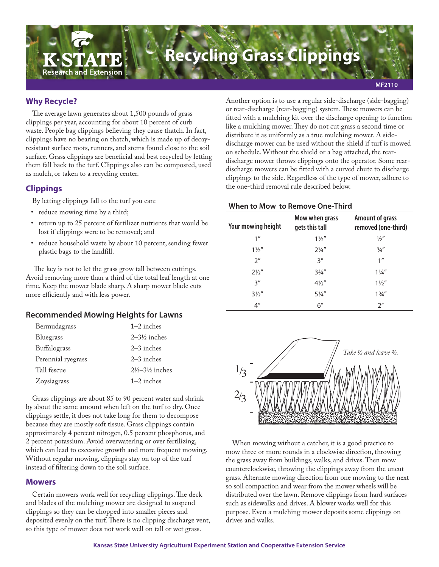

## **Why Recycle?**

The average lawn generates about 1,500 pounds of grass clippings per year, accounting for about 10 percent of curb waste. People bag clippings believing they cause thatch. In fact, clippings have no bearing on thatch, which is made up of decayresistant surface roots, runners, and stems found close to the soil surface. Grass clippings are beneficial and best recycled by letting them fall back to the turf. Clippings also can be composted, used as mulch, or taken to a recycling center.

# **Clippings**

By letting clippings fall to the turf you can:

- reduce mowing time by a third;
- return up to 25 percent of fertilizer nutrients that would be lost if clippings were to be removed; and
- reduce household waste by about 10 percent, sending fewer plastic bags to the landfill.

 The key is not to let the grass grow tall between cuttings. Avoid removing more than a third of the total leaf length at one time. Keep the mower blade sharp. A sharp mower blade cuts more efficiently and with less power.

### **Recommended Mowing Heights for Lawns**

| Bermudagrass       | $1-2$ inches                         |
|--------------------|--------------------------------------|
| Bluegrass          | $2-3\frac{1}{2}$ inches              |
| Buffalograss       | $2-3$ inches                         |
| Perennial ryegrass | $2-3$ inches                         |
| Tall fescue        | $2\frac{1}{2} - 3\frac{1}{2}$ inches |
| Zoysiagrass        | $1-2$ inches                         |

Grass clippings are about 85 to 90 percent water and shrink by about the same amount when left on the turf to dry. Once clippings settle, it does not take long for them to decompose because they are mostly soft tissue. Grass clippings contain approximately 4 percent nitrogen, 0.5 percent phosphorus, and 2 percent potassium. Avoid overwatering or over fertilizing, which can lead to excessive growth and more frequent mowing. Without regular mowing, clippings stay on top of the turf instead of filtering down to the soil surface.

## **Mowers**

Certain mowers work well for recycling clippings. The deck and blades of the mulching mower are designed to suspend clippings so they can be chopped into smaller pieces and deposited evenly on the turf. There is no clipping discharge vent, so this type of mower does not work well on tall or wet grass.

Another option is to use a regular side-discharge (side-bagging) or rear-discharge (rear-bagging) system. These mowers can be fitted with a mulching kit over the discharge opening to function like a mulching mower. They do not cut grass a second time or distribute it as uniformly as a true mulching mower. A sidedischarge mower can be used without the shield if turf is mowed on schedule. Without the shield or a bag attached, the reardischarge mower throws clippings onto the operator. Some reardischarge mowers can be fitted with a curved chute to discharge clippings to the side. Regardless of the type of mower, adhere to the one-third removal rule described below.

#### **When to Mow to Remove One-Third**

| Your mowing height | Mow when grass<br>gets this tall | <b>Amount of grass</b><br>removed (one-third) |
|--------------------|----------------------------------|-----------------------------------------------|
| 1 <sup>''</sup>    | $1\frac{1}{2}$                   | $\frac{1}{2}$                                 |
| $1\frac{1}{2}$     | $2\frac{1}{4}$                   | $\frac{3}{4}$ "                               |
| 2 <sup>''</sup>    | 3''                              | 1 <sup>''</sup>                               |
| $2\frac{1}{2}$     | $3\frac{3}{4}$ "                 | $1\frac{1}{4}$                                |
| 3''                | $4\frac{1}{2}$                   | $1\frac{1}{2}$                                |
| $3\frac{1}{2}$     | $5\frac{1}{4}$                   | $1\frac{3}{4}$ "                              |
| 4 <sup>''</sup>    | 6''                              | 2 <sup>''</sup>                               |



When mowing without a catcher, it is a good practice to mow three or more rounds in a clockwise direction, throwing the grass away from buildings, walks, and drives. Then mow counterclockwise, throwing the clippings away from the uncut grass. Alternate mowing direction from one mowing to the next so soil compaction and wear from the mower wheels will be distributed over the lawn. Remove clippings from hard surfaces such as sidewalks and drives. A blower works well for this purpose. Even a mulching mower deposits some clippings on drives and walks.